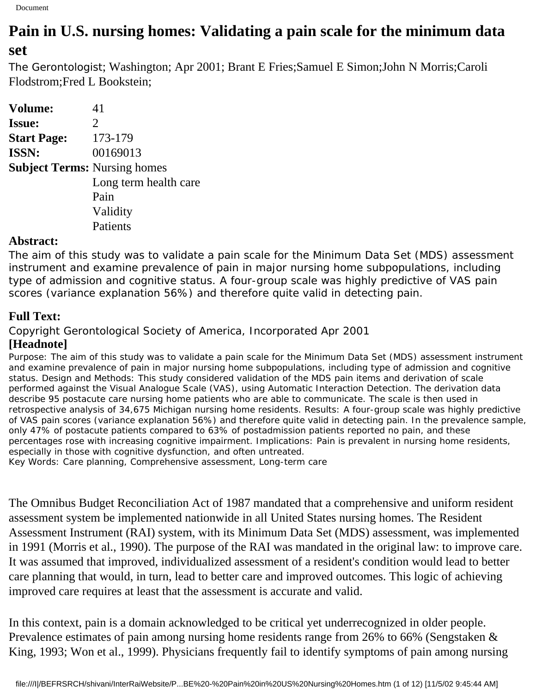# **Pain in U.S. nursing homes: Validating a pain scale for the minimum data**

## **set**

*The Gerontologist*; Washington; Apr 2001; Brant E Fries;Samuel E Simon;John N Morris;Caroli Flodstrom;Fred L Bookstein;

| <b>Volume:</b>                      | 41                    |
|-------------------------------------|-----------------------|
| <b>Issue:</b>                       | 2                     |
| <b>Start Page:</b>                  | 173-179               |
| <b>ISSN:</b>                        | 00169013              |
| <b>Subject Terms:</b> Nursing homes |                       |
|                                     | Long term health care |
|                                     | Pain                  |
|                                     | Validity              |
|                                     | Patients              |

## **Abstract:**

*The aim of this study was to validate a pain scale for the Minimum Data Set (MDS) assessment*  instrument and examine prevalence of pain in major nursing home subpopulations, including *type of admission and cognitive status. A four-group scale was highly predictive of VAS pain scores (variance explanation 56%) and therefore quite valid in detecting pain.*

# **Full Text:**

#### *Copyright Gerontological Society of America, Incorporated Apr 2001* **[Headnote]**

Purpose: The aim of this study was to validate a pain scale for the Minimum Data Set (MDS) assessment instrument and examine prevalence of pain in major nursing home subpopulations, including type of admission and cognitive status. Design and Methods: This study considered validation of the MDS pain items and derivation of scale performed against the Visual Analogue Scale (VAS), using Automatic Interaction Detection. The derivation data describe 95 postacute care nursing home patients who are able to communicate. The scale is then used in retrospective analysis of 34,675 Michigan nursing home residents. Results: A four-group scale was highly predictive of VAS pain scores (variance explanation 56%) and therefore quite valid in detecting pain. In the prevalence sample, only 47% of postacute patients compared to 63% of postadmission patients reported no pain, and these percentages rose with increasing cognitive impairment. Implications: Pain is prevalent in nursing home residents, especially in those with cognitive dysfunction, and often untreated.

Key Words: Care planning, Comprehensive assessment, Long-term care

The Omnibus Budget Reconciliation Act of 1987 mandated that a comprehensive and uniform resident assessment system be implemented nationwide in all United States nursing homes. The Resident Assessment Instrument (RAI) system, with its Minimum Data Set (MDS) assessment, was implemented in 1991 (Morris et al., 1990). The purpose of the RAI was mandated in the original law: to improve care. It was assumed that improved, individualized assessment of a resident's condition would lead to better care planning that would, in turn, lead to better care and improved outcomes. This logic of achieving improved care requires at least that the assessment is accurate and valid.

In this context, pain is a domain acknowledged to be critical yet underrecognized in older people. Prevalence estimates of pain among nursing home residents range from 26% to 66% (Sengstaken & King, 1993; Won et al., 1999). Physicians frequently fail to identify symptoms of pain among nursing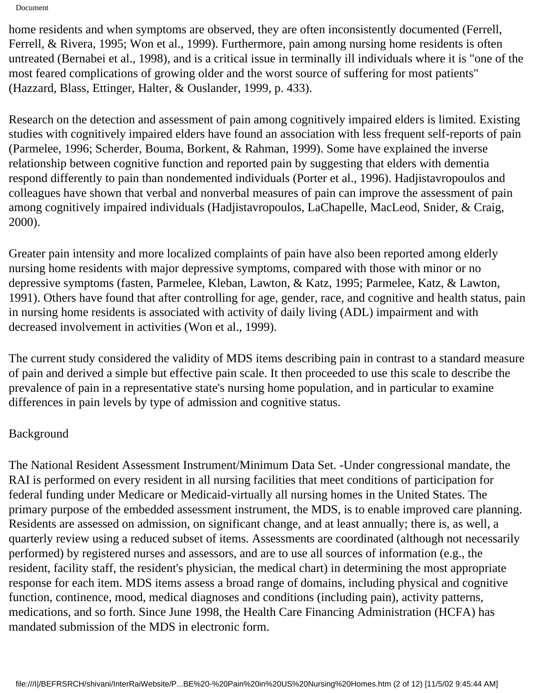home residents and when symptoms are observed, they are often inconsistently documented (Ferrell, Ferrell, & Rivera, 1995; Won et al., 1999). Furthermore, pain among nursing home residents is often untreated (Bernabei et al., 1998), and is a critical issue in terminally ill individuals where it is "one of the most feared complications of growing older and the worst source of suffering for most patients" (Hazzard, Blass, Ettinger, Halter, & Ouslander, 1999, p. 433).

Research on the detection and assessment of pain among cognitively impaired elders is limited. Existing studies with cognitively impaired elders have found an association with less frequent self-reports of pain (Parmelee, 1996; Scherder, Bouma, Borkent, & Rahman, 1999). Some have explained the inverse relationship between cognitive function and reported pain by suggesting that elders with dementia respond differently to pain than nondemented individuals (Porter et al., 1996). Hadjistavropoulos and colleagues have shown that verbal and nonverbal measures of pain can improve the assessment of pain among cognitively impaired individuals (Hadjistavropoulos, LaChapelle, MacLeod, Snider, & Craig, 2000).

Greater pain intensity and more localized complaints of pain have also been reported among elderly nursing home residents with major depressive symptoms, compared with those with minor or no depressive symptoms (fasten, Parmelee, Kleban, Lawton, & Katz, 1995; Parmelee, Katz, & Lawton, 1991). Others have found that after controlling for age, gender, race, and cognitive and health status, pain in nursing home residents is associated with activity of daily living (ADL) impairment and with decreased involvement in activities (Won et al., 1999).

The current study considered the validity of MDS items describing pain in contrast to a standard measure of pain and derived a simple but effective pain scale. It then proceeded to use this scale to describe the prevalence of pain in a representative state's nursing home population, and in particular to examine differences in pain levels by type of admission and cognitive status.

# Background

The National Resident Assessment Instrument/Minimum Data Set. -Under congressional mandate, the RAI is performed on every resident in all nursing facilities that meet conditions of participation for federal funding under Medicare or Medicaid-virtually all nursing homes in the United States. The primary purpose of the embedded assessment instrument, the MDS, is to enable improved care planning. Residents are assessed on admission, on significant change, and at least annually; there is, as well, a quarterly review using a reduced subset of items. Assessments are coordinated (although not necessarily performed) by registered nurses and assessors, and are to use all sources of information (e.g., the resident, facility staff, the resident's physician, the medical chart) in determining the most appropriate response for each item. MDS items assess a broad range of domains, including physical and cognitive function, continence, mood, medical diagnoses and conditions (including pain), activity patterns, medications, and so forth. Since June 1998, the Health Care Financing Administration (HCFA) has mandated submission of the MDS in electronic form.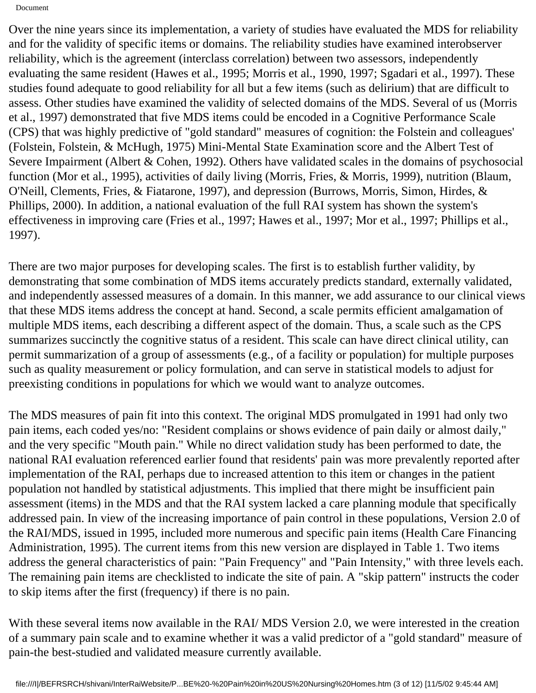Over the nine years since its implementation, a variety of studies have evaluated the MDS for reliability and for the validity of specific items or domains. The reliability studies have examined interobserver reliability, which is the agreement (interclass correlation) between two assessors, independently evaluating the same resident (Hawes et al., 1995; Morris et al., 1990, 1997; Sgadari et al., 1997). These studies found adequate to good reliability for all but a few items (such as delirium) that are difficult to assess. Other studies have examined the validity of selected domains of the MDS. Several of us (Morris et al., 1997) demonstrated that five MDS items could be encoded in a Cognitive Performance Scale (CPS) that was highly predictive of "gold standard" measures of cognition: the Folstein and colleagues' (Folstein, Folstein, & McHugh, 1975) Mini-Mental State Examination score and the Albert Test of Severe Impairment (Albert & Cohen, 1992). Others have validated scales in the domains of psychosocial function (Mor et al., 1995), activities of daily living (Morris, Fries, & Morris, 1999), nutrition (Blaum, O'Neill, Clements, Fries, & Fiatarone, 1997), and depression (Burrows, Morris, Simon, Hirdes, & Phillips, 2000). In addition, a national evaluation of the full RAI system has shown the system's effectiveness in improving care (Fries et al., 1997; Hawes et al., 1997; Mor et al., 1997; Phillips et al., 1997).

There are two major purposes for developing scales. The first is to establish further validity, by demonstrating that some combination of MDS items accurately predicts standard, externally validated, and independently assessed measures of a domain. In this manner, we add assurance to our clinical views that these MDS items address the concept at hand. Second, a scale permits efficient amalgamation of multiple MDS items, each describing a different aspect of the domain. Thus, a scale such as the CPS summarizes succinctly the cognitive status of a resident. This scale can have direct clinical utility, can permit summarization of a group of assessments (e.g., of a facility or population) for multiple purposes such as quality measurement or policy formulation, and can serve in statistical models to adjust for preexisting conditions in populations for which we would want to analyze outcomes.

The MDS measures of pain fit into this context. The original MDS promulgated in 1991 had only two pain items, each coded yes/no: "Resident complains or shows evidence of pain daily or almost daily," and the very specific "Mouth pain." While no direct validation study has been performed to date, the national RAI evaluation referenced earlier found that residents' pain was more prevalently reported after implementation of the RAI, perhaps due to increased attention to this item or changes in the patient population not handled by statistical adjustments. This implied that there might be insufficient pain assessment (items) in the MDS and that the RAI system lacked a care planning module that specifically addressed pain. In view of the increasing importance of pain control in these populations, Version 2.0 of the RAI/MDS, issued in 1995, included more numerous and specific pain items (Health Care Financing Administration, 1995). The current items from this new version are displayed in Table 1. Two items address the general characteristics of pain: "Pain Frequency" and "Pain Intensity," with three levels each. The remaining pain items are checklisted to indicate the site of pain. A "skip pattern" instructs the coder to skip items after the first (frequency) if there is no pain.

With these several items now available in the RAI/ MDS Version 2.0, we were interested in the creation of a summary pain scale and to examine whether it was a valid predictor of a "gold standard" measure of pain-the best-studied and validated measure currently available.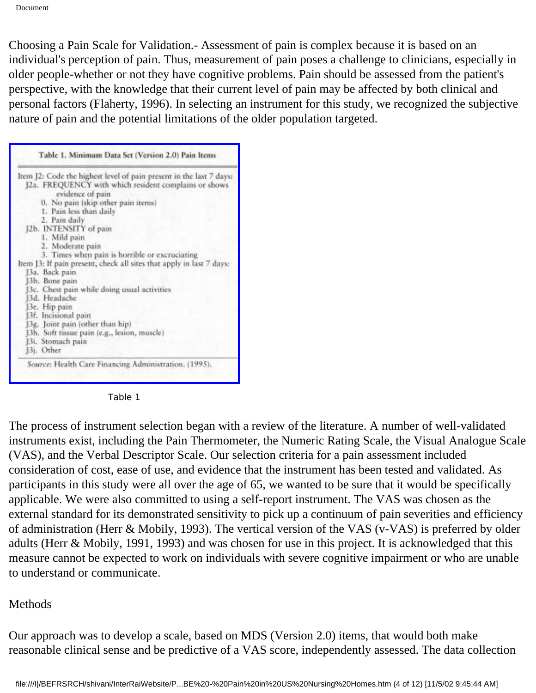Choosing a Pain Scale for Validation.- Assessment of pain is complex because it is based on an individual's perception of pain. Thus, measurement of pain poses a challenge to clinicians, especially in older people-whether or not they have cognitive problems. Pain should be assessed from the patient's perspective, with the knowledge that their current level of pain may be affected by both clinical and personal factors (Flaherty, 1996). In selecting an instrument for this study, we recognized the subjective nature of pain and the potential limitations of the older population targeted.

| Item J2: Code the highest level of pain present in the last 7 days:       |  |
|---------------------------------------------------------------------------|--|
| J2a. FREQUENCY with which resident complains or shows<br>evidence of pain |  |
| 0. No pain (skip other pain items)                                        |  |
| 1. Pain less than daily                                                   |  |
| 2. Pain daily                                                             |  |
| J2b. INTENSITY of pain                                                    |  |
| 1. Mild pain                                                              |  |
| 2. Moderate pain                                                          |  |
| 3. Times when pain is horrible or excruciating                            |  |
| Item J3: If pain present, check all sites that apply in last 7 days:      |  |
| J.3a. Back pain                                                           |  |
| J3b. Bone pain                                                            |  |
| J3c. Chest pain while doing usual activities                              |  |
| 3d. Headache                                                              |  |
| 3e. Hip pain                                                              |  |
| 3f. Incisional pain                                                       |  |
| J3g. Joint pain (other than hip)                                          |  |
| J3h. Soft tissue pain (e.g., lesion, muscle)                              |  |
| 3i. Stomach pain                                                          |  |
| J3j. Other                                                                |  |

Table 1

The process of instrument selection began with a review of the literature. A number of well-validated instruments exist, including the Pain Thermometer, the Numeric Rating Scale, the Visual Analogue Scale (VAS), and the Verbal Descriptor Scale. Our selection criteria for a pain assessment included consideration of cost, ease of use, and evidence that the instrument has been tested and validated. As participants in this study were all over the age of 65, we wanted to be sure that it would be specifically applicable. We were also committed to using a self-report instrument. The VAS was chosen as the external standard for its demonstrated sensitivity to pick up a continuum of pain severities and efficiency of administration (Herr & Mobily, 1993). The vertical version of the VAS (v-VAS) is preferred by older adults (Herr & Mobily, 1991, 1993) and was chosen for use in this project. It is acknowledged that this measure cannot be expected to work on individuals with severe cognitive impairment or who are unable to understand or communicate.

#### Methods

Our approach was to develop a scale, based on MDS (Version 2.0) items, that would both make reasonable clinical sense and be predictive of a VAS score, independently assessed. The data collection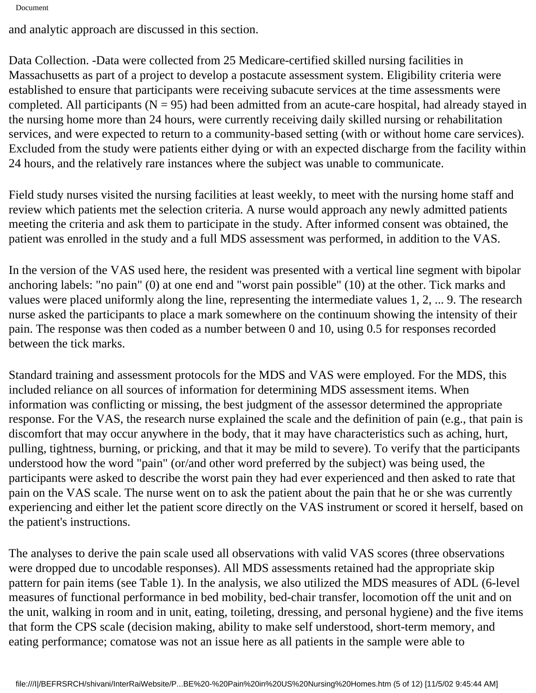and analytic approach are discussed in this section.

Data Collection. -Data were collected from 25 Medicare-certified skilled nursing facilities in Massachusetts as part of a project to develop a postacute assessment system. Eligibility criteria were established to ensure that participants were receiving subacute services at the time assessments were completed. All participants ( $N = 95$ ) had been admitted from an acute-care hospital, had already stayed in the nursing home more than 24 hours, were currently receiving daily skilled nursing or rehabilitation services, and were expected to return to a community-based setting (with or without home care services). Excluded from the study were patients either dying or with an expected discharge from the facility within 24 hours, and the relatively rare instances where the subject was unable to communicate.

Field study nurses visited the nursing facilities at least weekly, to meet with the nursing home staff and review which patients met the selection criteria. A nurse would approach any newly admitted patients meeting the criteria and ask them to participate in the study. After informed consent was obtained, the patient was enrolled in the study and a full MDS assessment was performed, in addition to the VAS.

In the version of the VAS used here, the resident was presented with a vertical line segment with bipolar anchoring labels: "no pain" (0) at one end and "worst pain possible" (10) at the other. Tick marks and values were placed uniformly along the line, representing the intermediate values 1, 2, ... 9. The research nurse asked the participants to place a mark somewhere on the continuum showing the intensity of their pain. The response was then coded as a number between 0 and 10, using 0.5 for responses recorded between the tick marks.

Standard training and assessment protocols for the MDS and VAS were employed. For the MDS, this included reliance on all sources of information for determining MDS assessment items. When information was conflicting or missing, the best judgment of the assessor determined the appropriate response. For the VAS, the research nurse explained the scale and the definition of pain (e.g., that pain is discomfort that may occur anywhere in the body, that it may have characteristics such as aching, hurt, pulling, tightness, burning, or pricking, and that it may be mild to severe). To verify that the participants understood how the word "pain" (or/and other word preferred by the subject) was being used, the participants were asked to describe the worst pain they had ever experienced and then asked to rate that pain on the VAS scale. The nurse went on to ask the patient about the pain that he or she was currently experiencing and either let the patient score directly on the VAS instrument or scored it herself, based on the patient's instructions.

The analyses to derive the pain scale used all observations with valid VAS scores (three observations were dropped due to uncodable responses). All MDS assessments retained had the appropriate skip pattern for pain items (see Table 1). In the analysis, we also utilized the MDS measures of ADL (6-level measures of functional performance in bed mobility, bed-chair transfer, locomotion off the unit and on the unit, walking in room and in unit, eating, toileting, dressing, and personal hygiene) and the five items that form the CPS scale (decision making, ability to make self understood, short-term memory, and eating performance; comatose was not an issue here as all patients in the sample were able to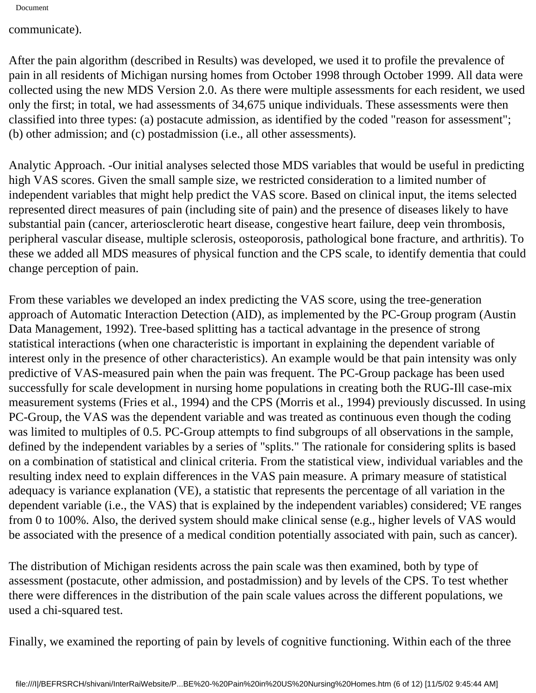communicate).

After the pain algorithm (described in Results) was developed, we used it to profile the prevalence of pain in all residents of Michigan nursing homes from October 1998 through October 1999. All data were collected using the new MDS Version 2.0. As there were multiple assessments for each resident, we used only the first; in total, we had assessments of 34,675 unique individuals. These assessments were then classified into three types: (a) postacute admission, as identified by the coded "reason for assessment"; (b) other admission; and (c) postadmission (i.e., all other assessments).

Analytic Approach. -Our initial analyses selected those MDS variables that would be useful in predicting high VAS scores. Given the small sample size, we restricted consideration to a limited number of independent variables that might help predict the VAS score. Based on clinical input, the items selected represented direct measures of pain (including site of pain) and the presence of diseases likely to have substantial pain (cancer, arteriosclerotic heart disease, congestive heart failure, deep vein thrombosis, peripheral vascular disease, multiple sclerosis, osteoporosis, pathological bone fracture, and arthritis). To these we added all MDS measures of physical function and the CPS scale, to identify dementia that could change perception of pain.

From these variables we developed an index predicting the VAS score, using the tree-generation approach of Automatic Interaction Detection (AID), as implemented by the PC-Group program (Austin Data Management, 1992). Tree-based splitting has a tactical advantage in the presence of strong statistical interactions (when one characteristic is important in explaining the dependent variable of interest only in the presence of other characteristics). An example would be that pain intensity was only predictive of VAS-measured pain when the pain was frequent. The PC-Group package has been used successfully for scale development in nursing home populations in creating both the RUG-Ill case-mix measurement systems (Fries et al., 1994) and the CPS (Morris et al., 1994) previously discussed. In using PC-Group, the VAS was the dependent variable and was treated as continuous even though the coding was limited to multiples of 0.5. PC-Group attempts to find subgroups of all observations in the sample, defined by the independent variables by a series of "splits." The rationale for considering splits is based on a combination of statistical and clinical criteria. From the statistical view, individual variables and the resulting index need to explain differences in the VAS pain measure. A primary measure of statistical adequacy is variance explanation (VE), a statistic that represents the percentage of all variation in the dependent variable (i.e., the VAS) that is explained by the independent variables) considered; VE ranges from 0 to 100%. Also, the derived system should make clinical sense (e.g., higher levels of VAS would be associated with the presence of a medical condition potentially associated with pain, such as cancer).

The distribution of Michigan residents across the pain scale was then examined, both by type of assessment (postacute, other admission, and postadmission) and by levels of the CPS. To test whether there were differences in the distribution of the pain scale values across the different populations, we used a chi-squared test.

Finally, we examined the reporting of pain by levels of cognitive functioning. Within each of the three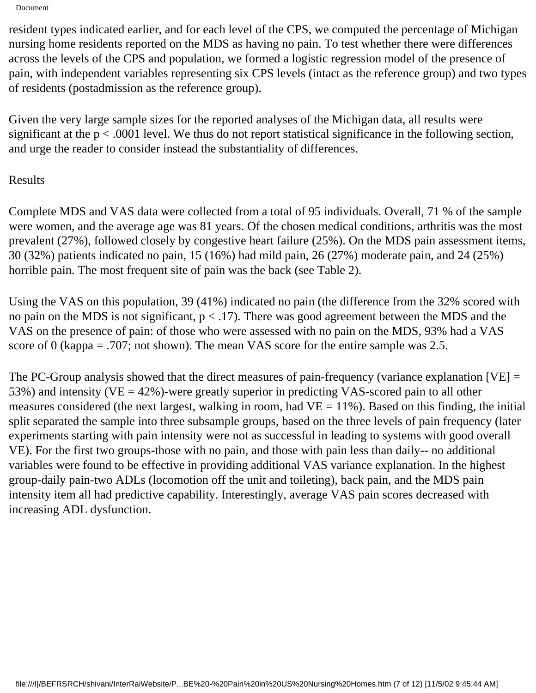resident types indicated earlier, and for each level of the CPS, we computed the percentage of Michigan nursing home residents reported on the MDS as having no pain. To test whether there were differences across the levels of the CPS and population, we formed a logistic regression model of the presence of pain, with independent variables representing six CPS levels (intact as the reference group) and two types of residents (postadmission as the reference group).

Given the very large sample sizes for the reported analyses of the Michigan data, all results were significant at the  $p < .0001$  level. We thus do not report statistical significance in the following section, and urge the reader to consider instead the substantiality of differences.

# Results

Complete MDS and VAS data were collected from a total of 95 individuals. Overall, 71 % of the sample were women, and the average age was 81 years. Of the chosen medical conditions, arthritis was the most prevalent (27%), followed closely by congestive heart failure (25%). On the MDS pain assessment items, 30 (32%) patients indicated no pain, 15 (16%) had mild pain, 26 (27%) moderate pain, and 24 (25%) horrible pain. The most frequent site of pain was the back (see Table 2).

Using the VAS on this population, 39 (41%) indicated no pain (the difference from the 32% scored with no pain on the MDS is not significant,  $p < .17$ ). There was good agreement between the MDS and the VAS on the presence of pain: of those who were assessed with no pain on the MDS, 93% had a VAS score of 0 (kappa = .707; not shown). The mean VAS score for the entire sample was 2.5.

The PC-Group analysis showed that the direct measures of pain-frequency (variance explanation [VE] = 53%) and intensity ( $VE = 42\%$ )-were greatly superior in predicting VAS-scored pain to all other measures considered (the next largest, walking in room, had  $VE = 11\%$ ). Based on this finding, the initial split separated the sample into three subsample groups, based on the three levels of pain frequency (later experiments starting with pain intensity were not as successful in leading to systems with good overall VE). For the first two groups-those with no pain, and those with pain less than daily-- no additional variables were found to be effective in providing additional VAS variance explanation. In the highest group-daily pain-two ADLs (locomotion off the unit and toileting), back pain, and the MDS pain intensity item all had predictive capability. Interestingly, average VAS pain scores decreased with increasing ADL dysfunction.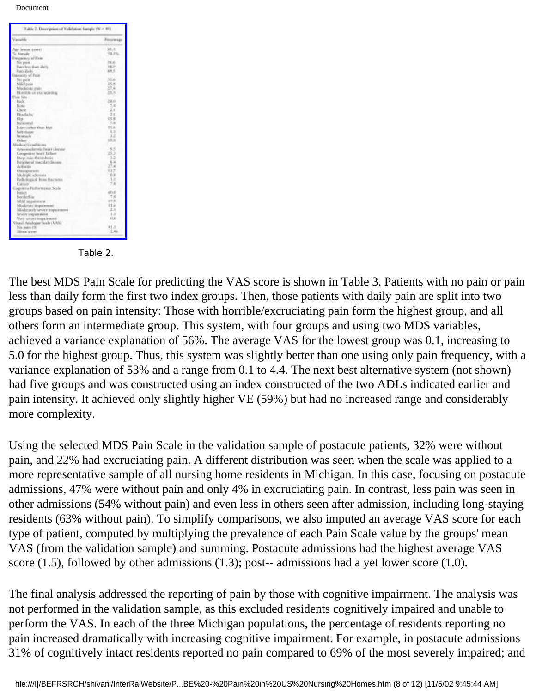| Variable                          | Percentage   |
|-----------------------------------|--------------|
| Age bewon yount?                  | 80. E        |
| <b>S. Feesale</b>                 | 19.1%        |
| Ennowmey of Firm                  |              |
| No pam                            | <b>FEAL</b>  |
| New less than abells              | 18.58        |
| Pain dads. 11                     | <b>ANK</b>   |
| Databally of Pale                 |              |
| No pain                           | 5/Life       |
| Mild pain                         | 15.8         |
| Mischeste pain.                   | 17,4         |
| Hottible or excessiving           | 35.5         |
| tair Since                        |              |
| Back                              | <b>FILLS</b> |
| Rose                              | 气道           |
| Chine.                            | 2.8          |
| Headache                          | 2.1          |
| Hill or                           | 日本社          |
| Incision                          | 7.4          |
| <b>Joint Jieber due Mat</b>       | 13A          |
| <b>Safe risecan</b>               | 1.7          |
| <b>Incomedia</b>                  | 3.2          |
| Odun                              | 1.91.19      |
| Minhoel Linuxboons."              |              |
| Artermaderetic Preset cleaner     | 45           |
| Congregior heavy failure          | 25.3         |
| Dorp rein thanksbosis             | 32           |
| Peripherist viscolat disease      | 5.3          |
| Artistic                          | 27.4         |
| Ostavable with                    | E17          |
| Mudriple adorsoid.                | 合道           |
| Pathological Itom fractures       | 33           |
| Canus"                            | TA           |
| Septitive Philbertonics Scale     |              |
| Intact:                           | 603.8        |
| <b>Bookerfour</b>                 | 73           |
| - Maniegal MM                     | ET.N         |
| Modonay impulsores                | IT in        |
| Midleswely service trape transmit | $+11$        |
| Severe Lograde stute it           | 1.1          |
| Vice severa impalament            | <b>OUE</b>   |
| Violal Analysis Sode (VAR)        |              |
|                                   | 41.1         |
| Nis puis 1%<br>Mond ignore        | Lei          |



The best MDS Pain Scale for predicting the VAS score is shown in Table 3. Patients with no pain or pain less than daily form the first two index groups. Then, those patients with daily pain are split into two groups based on pain intensity: Those with horrible/excruciating pain form the highest group, and all others form an intermediate group. This system, with four groups and using two MDS variables, achieved a variance explanation of 56%. The average VAS for the lowest group was 0.1, increasing to 5.0 for the highest group. Thus, this system was slightly better than one using only pain frequency, with a variance explanation of 53% and a range from 0.1 to 4.4. The next best alternative system (not shown) had five groups and was constructed using an index constructed of the two ADLs indicated earlier and pain intensity. It achieved only slightly higher VE (59%) but had no increased range and considerably more complexity.

Using the selected MDS Pain Scale in the validation sample of postacute patients, 32% were without pain, and 22% had excruciating pain. A different distribution was seen when the scale was applied to a more representative sample of all nursing home residents in Michigan. In this case, focusing on postacute admissions, 47% were without pain and only 4% in excruciating pain. In contrast, less pain was seen in other admissions (54% without pain) and even less in others seen after admission, including long-staying residents (63% without pain). To simplify comparisons, we also imputed an average VAS score for each type of patient, computed by multiplying the prevalence of each Pain Scale value by the groups' mean VAS (from the validation sample) and summing. Postacute admissions had the highest average VAS score (1.5), followed by other admissions (1.3); post-- admissions had a yet lower score (1.0).

The final analysis addressed the reporting of pain by those with cognitive impairment. The analysis was not performed in the validation sample, as this excluded residents cognitively impaired and unable to perform the VAS. In each of the three Michigan populations, the percentage of residents reporting no pain increased dramatically with increasing cognitive impairment. For example, in postacute admissions 31% of cognitively intact residents reported no pain compared to 69% of the most severely impaired; and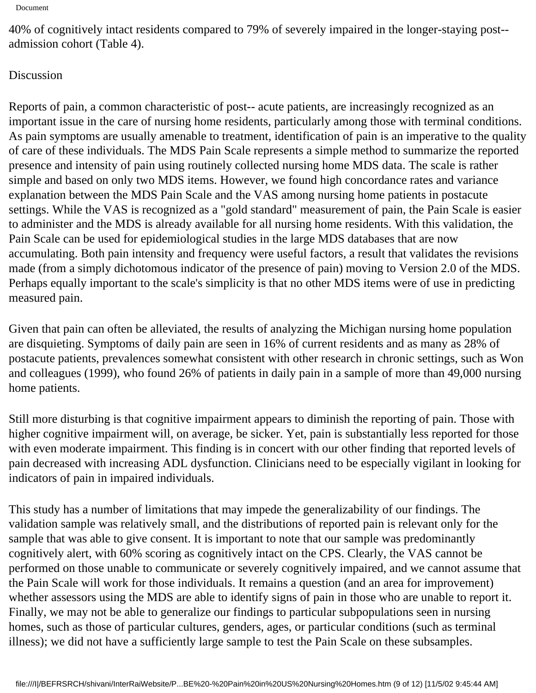40% of cognitively intact residents compared to 79% of severely impaired in the longer-staying post- admission cohort (Table 4).

# Discussion

Reports of pain, a common characteristic of post-- acute patients, are increasingly recognized as an important issue in the care of nursing home residents, particularly among those with terminal conditions. As pain symptoms are usually amenable to treatment, identification of pain is an imperative to the quality of care of these individuals. The MDS Pain Scale represents a simple method to summarize the reported presence and intensity of pain using routinely collected nursing home MDS data. The scale is rather simple and based on only two MDS items. However, we found high concordance rates and variance explanation between the MDS Pain Scale and the VAS among nursing home patients in postacute settings. While the VAS is recognized as a "gold standard" measurement of pain, the Pain Scale is easier to administer and the MDS is already available for all nursing home residents. With this validation, the Pain Scale can be used for epidemiological studies in the large MDS databases that are now accumulating. Both pain intensity and frequency were useful factors, a result that validates the revisions made (from a simply dichotomous indicator of the presence of pain) moving to Version 2.0 of the MDS. Perhaps equally important to the scale's simplicity is that no other MDS items were of use in predicting measured pain.

Given that pain can often be alleviated, the results of analyzing the Michigan nursing home population are disquieting. Symptoms of daily pain are seen in 16% of current residents and as many as 28% of postacute patients, prevalences somewhat consistent with other research in chronic settings, such as Won and colleagues (1999), who found 26% of patients in daily pain in a sample of more than 49,000 nursing home patients.

Still more disturbing is that cognitive impairment appears to diminish the reporting of pain. Those with higher cognitive impairment will, on average, be sicker. Yet, pain is substantially less reported for those with even moderate impairment. This finding is in concert with our other finding that reported levels of pain decreased with increasing ADL dysfunction. Clinicians need to be especially vigilant in looking for indicators of pain in impaired individuals.

This study has a number of limitations that may impede the generalizability of our findings. The validation sample was relatively small, and the distributions of reported pain is relevant only for the sample that was able to give consent. It is important to note that our sample was predominantly cognitively alert, with 60% scoring as cognitively intact on the CPS. Clearly, the VAS cannot be performed on those unable to communicate or severely cognitively impaired, and we cannot assume that the Pain Scale will work for those individuals. It remains a question (and an area for improvement) whether assessors using the MDS are able to identify signs of pain in those who are unable to report it. Finally, we may not be able to generalize our findings to particular subpopulations seen in nursing homes, such as those of particular cultures, genders, ages, or particular conditions (such as terminal illness); we did not have a sufficiently large sample to test the Pain Scale on these subsamples.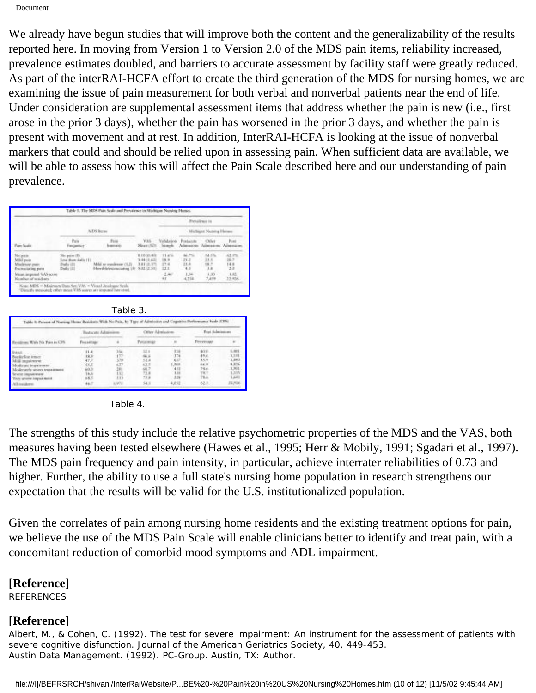We already have begun studies that will improve both the content and the generalizability of the results reported here. In moving from Version 1 to Version 2.0 of the MDS pain items, reliability increased, prevalence estimates doubled, and barriers to accurate assessment by facility staff were greatly reduced. As part of the interRAI-HCFA effort to create the third generation of the MDS for nursing homes, we are examining the issue of pain measurement for both verbal and nonverbal patients near the end of life. Under consideration are supplemental assessment items that address whether the pain is new (i.e., first arose in the prior 3 days), whether the pain has worsened in the prior 3 days, and whether the pain is present with movement and at rest. In addition, InterRAI-HCFA is looking at the issue of nonverbal markers that could and should be relied upon in assessing pain. When sufficient data are available, we will be able to assess how this will affect the Pain Scale described here and our understanding of pain prevalence.

| <b>Part Scott</b>                                                                                                 |                                                                  |                                                                 |                                           | Presidence in                                   |                                                |                                               |                                                       |
|-------------------------------------------------------------------------------------------------------------------|------------------------------------------------------------------|-----------------------------------------------------------------|-------------------------------------------|-------------------------------------------------|------------------------------------------------|-----------------------------------------------|-------------------------------------------------------|
|                                                                                                                   | <b>MT6 legas</b>                                                 |                                                                 |                                           |                                                 | Michigan Nursing Heines                        |                                               |                                                       |
|                                                                                                                   | Pale<br>Ferderick                                                | Fass<br><b>bamers</b>                                           |                                           | VAS Validation Production                       | Heart N.Y. Stands Administer Administration    | Other                                         | Post<br>Administration                                |
| No pain.<br>Mild pain<br>Maderew gray:<br>Fraction lating, paint<br>Must imposed VAS-acord<br>Number of stadents. | No. paint (B).<br>Lesa than skally (1).<br>Duily III<br>Duly 111 | MAL to maskesse (3.2)<br>horshidelenianscusting (1) 9.02 (2.51) | E.10/30.40E<br>1:00 (1:62)<br>1.EI II.TTL | 31.4%<br>18.9<br>27.4<br>22.1<br>$\frac{1}{41}$ | 96,750<br>23.2<br>21.8<br>4.3<br>1.54<br>4,234 | 54.0%<br>23.3<br>18.7<br>1.8<br>1.30<br>7,459 | 62.9%<br>28.7<br>$\frac{14.8}{2.8}$<br>1.85<br>12.936 |

Table 3.

|                                                                                                                                                                                                 | Pestacete Adoptations                                          |                                                        | Other Admissions                      |                                                                 | <b>Trust Aubertracers</b>                                |                                                                          |
|-------------------------------------------------------------------------------------------------------------------------------------------------------------------------------------------------|----------------------------------------------------------------|--------------------------------------------------------|---------------------------------------|-----------------------------------------------------------------|----------------------------------------------------------|--------------------------------------------------------------------------|
| Resident With Na Farnis CPS                                                                                                                                                                     | Freizaltzai                                                    | ٠                                                      | Periodensic                           | $\overline{1}$                                                  | Fewvesser<br>40.8<br>49.6<br>33.9<br>66.9<br>75.6<br>TKT |                                                                          |
| <b>Event</b><br>Borda/Gur insam<br>Mill impairment<br>Moderate importants<br><b>Arragula de Heavin d</b><br>Seanor I<br><b>Insurado renainte</b><br>View severe inspice world<br>All residents. | 11.4<br><b>BLS</b><br>47.7<br><b>ES. 1</b><br>600<br>談<br>48.7 | 164<br>137<br>576<br>637<br>191<br>132<br>115<br>1,973 | 足<br>5Ł4<br>읎<br>73.8<br>73.8<br>54.5 | 518<br>374<br>437<br>1,809<br>$\frac{451}{138}$<br>329<br>4,852 | 78.H<br>62.8                                             | 3,80.<br>1.181<br>$-1.843$<br>4,836<br>1.901<br>1,515<br>1,641<br>32,926 |



The strengths of this study include the relative psychometric properties of the MDS and the VAS, both measures having been tested elsewhere (Hawes et al., 1995; Herr & Mobily, 1991; Sgadari et al., 1997). The MDS pain frequency and pain intensity, in particular, achieve interrater reliabilities of 0.73 and higher. Further, the ability to use a full state's nursing home population in research strengthens our expectation that the results will be valid for the U.S. institutionalized population.

Given the correlates of pain among nursing home residents and the existing treatment options for pain, we believe the use of the MDS Pain Scale will enable clinicians better to identify and treat pain, with a concomitant reduction of comorbid mood symptoms and ADL impairment.

**[Reference]**

**REFERENCES** 

# **[Reference]**

Albert, M., & Cohen, C. (1992). The test for severe impairment: An instrument for the assessment of patients with severe cognitive disfunction. Journal of the American Geriatrics Society, 40, 449-453. Austin Data Management. (1992). PC-Group. Austin, TX: Author.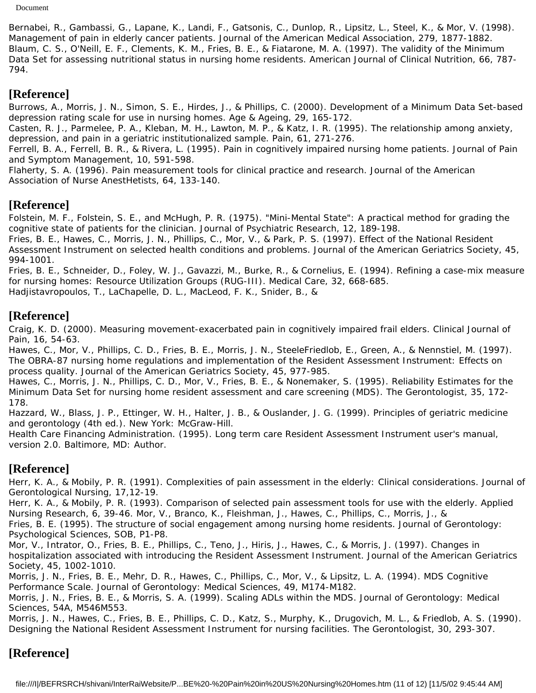Bernabei, R., Gambassi, G., Lapane, K., Landi, F., Gatsonis, C., Dunlop, R., Lipsitz, L., Steel, K., & Mor, V. (1998). Management of pain in elderly cancer patients. Journal of the American Medical Association, 279, 1877-1882. Blaum, C. S., O'Neill, E. F., Clements, K. M., Fries, B. E., & Fiatarone, M. A. (1997). The validity of the Minimum Data Set for assessing nutritional status in nursing home residents. American Journal of Clinical Nutrition, 66, 787- 794.

# **[Reference]**

Burrows, A., Morris, J. N., Simon, S. E., Hirdes, J., & Phillips, C. (2000). Development of a Minimum Data Set-based depression rating scale for use in nursing homes. Age & Ageing, 29, 165-172.

Casten, R. J., Parmelee, P. A., Kleban, M. H., Lawton, M. P., & Katz, I. R. (1995). The relationship among anxiety, depression, and pain in a geriatric institutionalized sample. Pain, 61, 271-276.

Ferrell, B. A., Ferrell, B. R., & Rivera, L. (1995). Pain in cognitively impaired nursing home patients. Journal of Pain and Symptom Management, 10, 591-598.

Flaherty, S. A. (1996). Pain measurement tools for clinical practice and research. Journal of the American Association of Nurse AnestHetists, 64, 133-140.

## **[Reference]**

Folstein, M. F., Folstein, S. E., and McHugh, P. R. (1975). "Mini-Mental State": A practical method for grading the cognitive state of patients for the clinician. Journal of Psychiatric Research, 12, 189-198.

Fries, B. E., Hawes, C., Morris, J. N., Phillips, C., Mor, V., & Park, P. S. (1997). Effect of the National Resident Assessment Instrument on selected health conditions and problems. Journal of the American Geriatrics Society, 45, 994-1001.

Fries, B. E., Schneider, D., Foley, W. J., Gavazzi, M., Burke, R., & Cornelius, E. (1994). Refining a case-mix measure for nursing homes: Resource Utilization Groups (RUG-III). Medical Care, 32, 668-685.

Hadjistavropoulos, T., LaChapelle, D. L., MacLeod, F. K., Snider, B., &

## **[Reference]**

Craig, K. D. (2000). Measuring movement-exacerbated pain in cognitively impaired frail elders. Clinical Journal of Pain, 16, 54-63.

Hawes, C., Mor, V., Phillips, C. D., Fries, B. E., Morris, J. N., SteeleFriedlob, E., Green, A., & Nennstiel, M. (1997). The OBRA-87 nursing home regulations and implementation of the Resident Assessment Instrument: Effects on process quality. Journal of the American Geriatrics Society, 45, 977-985.

Hawes, C., Morris, J. N., Phillips, C. D., Mor, V., Fries, B. E., & Nonemaker, S. (1995). Reliability Estimates for the Minimum Data Set for nursing home resident assessment and care screening (MDS). The Gerontologist, 35, 172- 178.

Hazzard, W., Blass, J. P., Ettinger, W. H., Halter, J. B., & Ouslander, J. G. (1999). Principles of geriatric medicine and gerontology (4th ed.). New York: McGraw-Hill.

Health Care Financing Administration. (1995). Long term care Resident Assessment Instrument user's manual, version 2.0. Baltimore, MD: Author.

# **[Reference]**

Herr, K. A., & Mobily, P. R. (1991). Complexities of pain assessment in the elderly: Clinical considerations. Journal of Gerontological Nursing, 17,12-19.

Herr, K. A., & Mobily, P. R. (1993). Comparison of selected pain assessment tools for use with the elderly. Applied Nursing Research, 6, 39-46. Mor, V., Branco, K., Fleishman, J., Hawes, C., Phillips, C., Morris, J., &

Fries, B. E. (1995). The structure of social engagement among nursing home residents. Journal of Gerontology: Psychological Sciences, SOB, P1-P8.

Mor, V., Intrator, O., Fries, B. E., Phillips, C., Teno, J., Hiris, J., Hawes, C., & Morris, J. (1997). Changes in hospitalization associated with introducing the Resident Assessment Instrument. Journal of the American Geriatrics Society, 45, 1002-1010.

Morris, J. N., Fries, B. E., Mehr, D. R., Hawes, C., Phillips, C., Mor, V., & Lipsitz, L. A. (1994). MDS Cognitive Performance Scale. Journal of Gerontology: Medical Sciences, 49, M174-M182.

Morris, J. N., Fries, B. E., & Morris, S. A. (1999). Scaling ADLs within the MDS. Journal of Gerontology: Medical Sciences, 54A, M546M553.

Morris, J. N., Hawes, C., Fries, B. E., Phillips, C. D., Katz, S., Murphy, K., Drugovich, M. L., & Friedlob, A. S. (1990). Designing the National Resident Assessment Instrument for nursing facilities. The Gerontologist, 30, 293-307.

# **[Reference]**